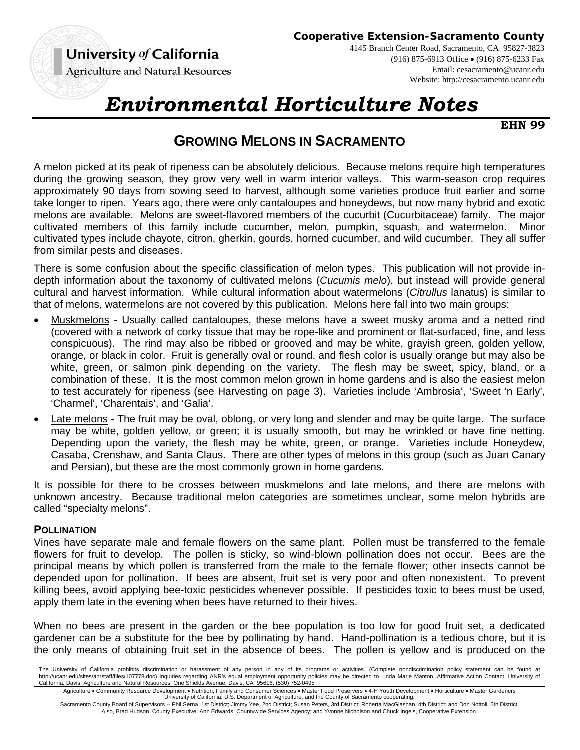# University of California

**Agriculture and Natural Resources** 



4145 Branch Center Road, Sacramento, CA 95827-3823 (916) 875-6913 Office (916) 875-6233 Fax Email: cesacramento@ucanr.edu Website: http://cesacramento.ucanr.edu

# *Environmental Horticulture Notes*

**EHN 99** 

## **GROWING MELONS IN SACRAMENTO**

A melon picked at its peak of ripeness can be absolutely delicious. Because melons require high temperatures during the growing season, they grow very well in warm interior valleys. This warm-season crop requires approximately 90 days from sowing seed to harvest, although some varieties produce fruit earlier and some take longer to ripen. Years ago, there were only cantaloupes and honeydews, but now many hybrid and exotic melons are available. Melons are sweet-flavored members of the cucurbit (Cucurbitaceae) family. The major cultivated members of this family include cucumber, melon, pumpkin, squash, and watermelon. Minor cultivated types include chayote, citron, gherkin, gourds, horned cucumber, and wild cucumber. They all suffer from similar pests and diseases.

There is some confusion about the specific classification of melon types. This publication will not provide indepth information about the taxonomy of cultivated melons (*Cucumis melo*), but instead will provide general cultural and harvest information. While cultural information about watermelons (*Citrullus* lanatus) is similar to that of melons, watermelons are not covered by this publication. Melons here fall into two main groups:

- Muskmelons Usually called cantaloupes, these melons have a sweet musky aroma and a netted rind (covered with a network of corky tissue that may be rope-like and prominent or flat-surfaced, fine, and less conspicuous). The rind may also be ribbed or grooved and may be white, grayish green, golden yellow, orange, or black in color. Fruit is generally oval or round, and flesh color is usually orange but may also be white, green, or salmon pink depending on the variety. The flesh may be sweet, spicy, bland, or a combination of these. It is the most common melon grown in home gardens and is also the easiest melon to test accurately for ripeness (see Harvesting on page 3). Varieties include 'Ambrosia', 'Sweet 'n Early', 'Charmel', 'Charentais', and 'Galia'.
- Late melons The fruit may be oval, oblong, or very long and slender and may be quite large. The surface may be white, golden yellow, or green; it is usually smooth, but may be wrinkled or have fine netting. Depending upon the variety, the flesh may be white, green, or orange. Varieties include Honeydew, Casaba, Crenshaw, and Santa Claus. There are other types of melons in this group (such as Juan Canary and Persian), but these are the most commonly grown in home gardens.

It is possible for there to be crosses between muskmelons and late melons, and there are melons with unknown ancestry. Because traditional melon categories are sometimes unclear, some melon hybrids are called "specialty melons".

#### **POLLINATION**

Vines have separate male and female flowers on the same plant. Pollen must be transferred to the female flowers for fruit to develop. The pollen is sticky, so wind-blown pollination does not occur. Bees are the principal means by which pollen is transferred from the male to the female flower; other insects cannot be depended upon for pollination. If bees are absent, fruit set is very poor and often nonexistent. To prevent killing bees, avoid applying bee-toxic pesticides whenever possible. If pesticides toxic to bees must be used, apply them late in the evening when bees have returned to their hives.

When no bees are present in the garden or the bee population is too low for good fruit set, a dedicated gardener can be a substitute for the bee by pollinating by hand. Hand-pollination is a tedious chore, but it is the only means of obtaining fruit set in the absence of bees. The pollen is yellow and is produced on the

The University of California prohibits discrimination or harassment of any person in any of its programs or activities. (Complete nondiscrimination policy statement can be found at http://ucanr.edu/sites/anrstaff/files/107778.doc) Inquiries regarding ANR's equal employment opportunity policies may be directed to Linda Marie Manton, Affirmative Action Contact, University of California, Davis, Agriculture and Natural Resources, One Shields Avenue, Davis, CA 95616, (530) 752-0495

Agriculture • Community Resource Development • Nutrition, Family and Consumer Sciences • Master Food Preservers • 4-H Youth Development • Horticulture • Master Gardeners<br>University of California, U.S. Department of Agricu

Sacramento County Board of Supervisors -- Phil Serna, 1st District; Jimmy Yee, 2nd District; Susan Peters, 3rd District; Roberta MacGlashan, 4th District; and Don Nottoli, 5th District. Also, Brad Hudson, County Executive; Ann Edwards, Countywide Services Agency; and Yvonne Nicholson and Chuck Ingels, Cooperative Extension.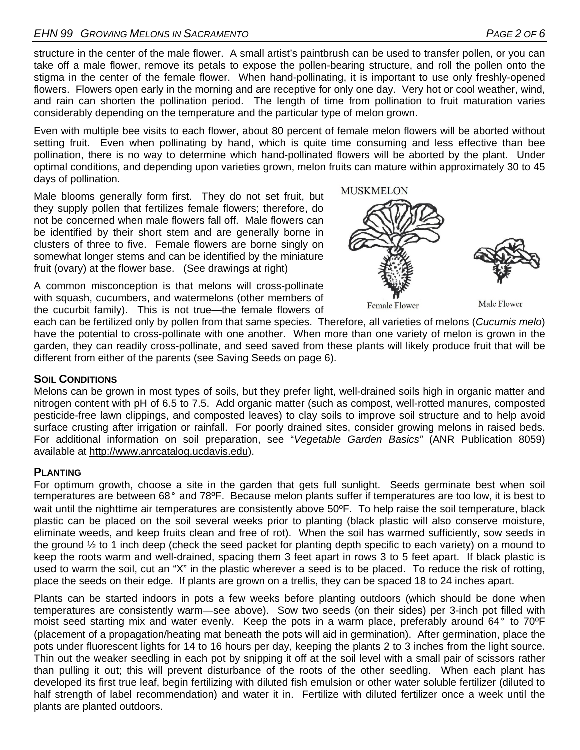structure in the center of the male flower. A small artist's paintbrush can be used to transfer pollen, or you can take off a male flower, remove its petals to expose the pollen-bearing structure, and roll the pollen onto the stigma in the center of the female flower. When hand-pollinating, it is important to use only freshly-opened flowers. Flowers open early in the morning and are receptive for only one day. Very hot or cool weather, wind, and rain can shorten the pollination period. The length of time from pollination to fruit maturation varies considerably depending on the temperature and the particular type of melon grown.

Even with multiple bee visits to each flower, about 80 percent of female melon flowers will be aborted without setting fruit. Even when pollinating by hand, which is quite time consuming and less effective than bee pollination, there is no way to determine which hand-pollinated flowers will be aborted by the plant. Under optimal conditions, and depending upon varieties grown, melon fruits can mature within approximately 30 to 45 days of pollination.

Male blooms generally form first. They do not set fruit, but they supply pollen that fertilizes female flowers; therefore, do not be concerned when male flowers fall off. Male flowers can be identified by their short stem and are generally borne in clusters of three to five. Female flowers are borne singly on somewhat longer stems and can be identified by the miniature fruit (ovary) at the flower base. (See drawings at right)



**MUSKMELON** 

A common misconception is that melons will cross-pollinate with squash, cucumbers, and watermelons (other members of the cucurbit family). This is not true—the female flowers of

Male Flower

each can be fertilized only by pollen from that same species. Therefore, all varieties of melons (*Cucumis melo*) have the potential to cross-pollinate with one another. When more than one variety of melon is grown in the garden, they can readily cross-pollinate, and seed saved from these plants will likely produce fruit that will be different from either of the parents (see Saving Seeds on page 6).

#### **SOIL CONDITIONS**

Melons can be grown in most types of soils, but they prefer light, well-drained soils high in organic matter and nitrogen content with pH of 6.5 to 7.5. Add organic matter (such as compost, well-rotted manures, composted pesticide-free lawn clippings, and composted leaves) to clay soils to improve soil structure and to help avoid surface crusting after irrigation or rainfall. For poorly drained sites, consider growing melons in raised beds. For additional information on soil preparation, see "*Vegetable Garden Basics"* (ANR Publication 8059) available at http://www.anrcatalog.ucdavis.edu).

## **PLANTING**

For optimum growth, choose a site in the garden that gets full sunlight. Seeds germinate best when soil temperatures are between 68° and 78ºF. Because melon plants suffer if temperatures are too low, it is best to wait until the nighttime air temperatures are consistently above 50°F. To help raise the soil temperature, black plastic can be placed on the soil several weeks prior to planting (black plastic will also conserve moisture, eliminate weeds, and keep fruits clean and free of rot). When the soil has warmed sufficiently, sow seeds in the ground ½ to 1 inch deep (check the seed packet for planting depth specific to each variety) on a mound to keep the roots warm and well-drained, spacing them 3 feet apart in rows 3 to 5 feet apart. If black plastic is used to warm the soil, cut an "X" in the plastic wherever a seed is to be placed. To reduce the risk of rotting, place the seeds on their edge. If plants are grown on a trellis, they can be spaced 18 to 24 inches apart.

Plants can be started indoors in pots a few weeks before planting outdoors (which should be done when temperatures are consistently warm—see above). Sow two seeds (on their sides) per 3-inch pot filled with moist seed starting mix and water evenly. Keep the pots in a warm place, preferably around 64° to 70ºF (placement of a propagation/heating mat beneath the pots will aid in germination). After germination, place the pots under fluorescent lights for 14 to 16 hours per day, keeping the plants 2 to 3 inches from the light source. Thin out the weaker seedling in each pot by snipping it off at the soil level with a small pair of scissors rather than pulling it out; this will prevent disturbance of the roots of the other seedling. When each plant has developed its first true leaf, begin fertilizing with diluted fish emulsion or other water soluble fertilizer (diluted to half strength of label recommendation) and water it in. Fertilize with diluted fertilizer once a week until the plants are planted outdoors.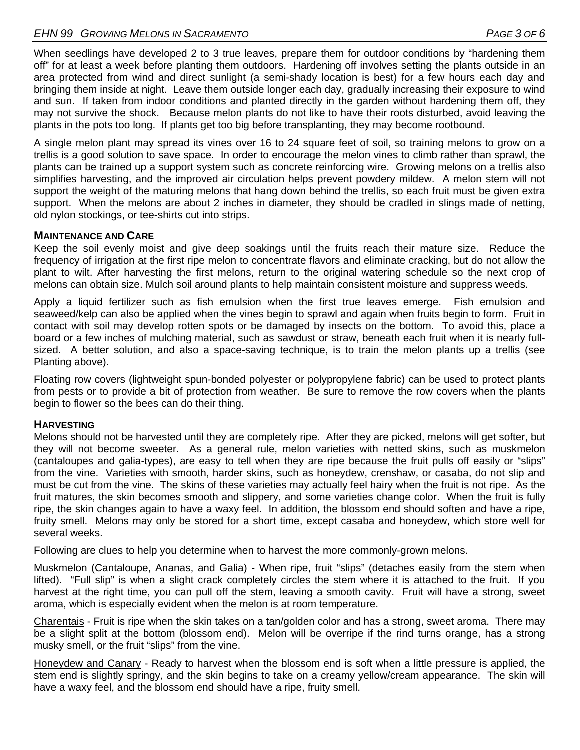When seedlings have developed 2 to 3 true leaves, prepare them for outdoor conditions by "hardening them off" for at least a week before planting them outdoors. Hardening off involves setting the plants outside in an area protected from wind and direct sunlight (a semi-shady location is best) for a few hours each day and bringing them inside at night. Leave them outside longer each day, gradually increasing their exposure to wind and sun. If taken from indoor conditions and planted directly in the garden without hardening them off, they may not survive the shock. Because melon plants do not like to have their roots disturbed, avoid leaving the plants in the pots too long. If plants get too big before transplanting, they may become rootbound.

A single melon plant may spread its vines over 16 to 24 square feet of soil, so training melons to grow on a trellis is a good solution to save space. In order to encourage the melon vines to climb rather than sprawl, the plants can be trained up a support system such as concrete reinforcing wire. Growing melons on a trellis also simplifies harvesting, and the improved air circulation helps prevent powdery mildew. A melon stem will not support the weight of the maturing melons that hang down behind the trellis, so each fruit must be given extra support. When the melons are about 2 inches in diameter, they should be cradled in slings made of netting, old nylon stockings, or tee-shirts cut into strips.

#### **MAINTENANCE AND CARE**

Keep the soil evenly moist and give deep soakings until the fruits reach their mature size. Reduce the frequency of irrigation at the first ripe melon to concentrate flavors and eliminate cracking, but do not allow the plant to wilt. After harvesting the first melons, return to the original watering schedule so the next crop of melons can obtain size. Mulch soil around plants to help maintain consistent moisture and suppress weeds.

Apply a liquid fertilizer such as fish emulsion when the first true leaves emerge. Fish emulsion and seaweed/kelp can also be applied when the vines begin to sprawl and again when fruits begin to form. Fruit in contact with soil may develop rotten spots or be damaged by insects on the bottom. To avoid this, place a board or a few inches of mulching material, such as sawdust or straw, beneath each fruit when it is nearly fullsized. A better solution, and also a space-saving technique, is to train the melon plants up a trellis (see Planting above).

Floating row covers (lightweight spun-bonded polyester or polypropylene fabric) can be used to protect plants from pests or to provide a bit of protection from weather. Be sure to remove the row covers when the plants begin to flower so the bees can do their thing.

#### **HARVESTING**

Melons should not be harvested until they are completely ripe. After they are picked, melons will get softer, but they will not become sweeter. As a general rule, melon varieties with netted skins, such as muskmelon (cantaloupes and galia-types), are easy to tell when they are ripe because the fruit pulls off easily or "slips" from the vine. Varieties with smooth, harder skins, such as honeydew, crenshaw, or casaba, do not slip and must be cut from the vine. The skins of these varieties may actually feel hairy when the fruit is not ripe. As the fruit matures, the skin becomes smooth and slippery, and some varieties change color. When the fruit is fully ripe, the skin changes again to have a waxy feel. In addition, the blossom end should soften and have a ripe, fruity smell. Melons may only be stored for a short time, except casaba and honeydew, which store well for several weeks.

Following are clues to help you determine when to harvest the more commonly-grown melons.

Muskmelon (Cantaloupe, Ananas, and Galia) - When ripe, fruit "slips" (detaches easily from the stem when lifted). "Full slip" is when a slight crack completely circles the stem where it is attached to the fruit. If you harvest at the right time, you can pull off the stem, leaving a smooth cavity. Fruit will have a strong, sweet aroma, which is especially evident when the melon is at room temperature.

Charentais - Fruit is ripe when the skin takes on a tan/golden color and has a strong, sweet aroma. There may be a slight split at the bottom (blossom end). Melon will be overripe if the rind turns orange, has a strong musky smell, or the fruit "slips" from the vine.

Honeydew and Canary - Ready to harvest when the blossom end is soft when a little pressure is applied, the stem end is slightly springy, and the skin begins to take on a creamy yellow/cream appearance. The skin will have a waxy feel, and the blossom end should have a ripe, fruity smell.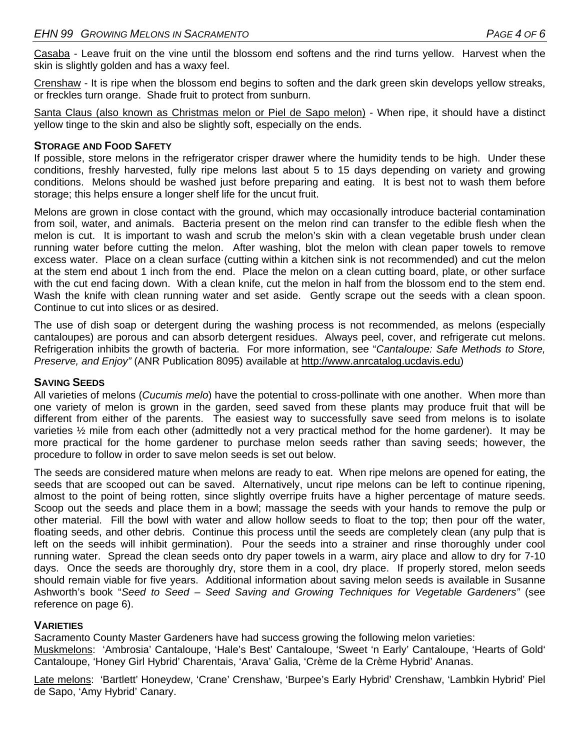Casaba - Leave fruit on the vine until the blossom end softens and the rind turns yellow. Harvest when the skin is slightly golden and has a waxy feel.

Crenshaw - It is ripe when the blossom end begins to soften and the dark green skin develops yellow streaks, or freckles turn orange. Shade fruit to protect from sunburn.

Santa Claus (also known as Christmas melon or Piel de Sapo melon) - When ripe, it should have a distinct yellow tinge to the skin and also be slightly soft, especially on the ends.

#### **STORAGE AND FOOD SAFETY**

If possible, store melons in the refrigerator crisper drawer where the humidity tends to be high. Under these conditions, freshly harvested, fully ripe melons last about 5 to 15 days depending on variety and growing conditions. Melons should be washed just before preparing and eating. It is best not to wash them before storage; this helps ensure a longer shelf life for the uncut fruit.

Melons are grown in close contact with the ground, which may occasionally introduce bacterial contamination from soil, water, and animals. Bacteria present on the melon rind can transfer to the edible flesh when the melon is cut. It is important to wash and scrub the melon's skin with a clean vegetable brush under clean running water before cutting the melon. After washing, blot the melon with clean paper towels to remove excess water. Place on a clean surface (cutting within a kitchen sink is not recommended) and cut the melon at the stem end about 1 inch from the end. Place the melon on a clean cutting board, plate, or other surface with the cut end facing down. With a clean knife, cut the melon in half from the blossom end to the stem end. Wash the knife with clean running water and set aside. Gently scrape out the seeds with a clean spoon. Continue to cut into slices or as desired.

The use of dish soap or detergent during the washing process is not recommended, as melons (especially cantaloupes) are porous and can absorb detergent residues. Always peel, cover, and refrigerate cut melons. Refrigeration inhibits the growth of bacteria. For more information, see "*Cantaloupe: Safe Methods to Store, Preserve, and Enjoy"* (ANR Publication 8095) available at http://www.anrcatalog.ucdavis.edu)

#### **SAVING SEEDS**

All varieties of melons (*Cucumis melo*) have the potential to cross-pollinate with one another. When more than one variety of melon is grown in the garden, seed saved from these plants may produce fruit that will be different from either of the parents. The easiest way to successfully save seed from melons is to isolate varieties ½ mile from each other (admittedly not a very practical method for the home gardener). It may be more practical for the home gardener to purchase melon seeds rather than saving seeds; however, the procedure to follow in order to save melon seeds is set out below.

The seeds are considered mature when melons are ready to eat. When ripe melons are opened for eating, the seeds that are scooped out can be saved. Alternatively, uncut ripe melons can be left to continue ripening, almost to the point of being rotten, since slightly overripe fruits have a higher percentage of mature seeds. Scoop out the seeds and place them in a bowl; massage the seeds with your hands to remove the pulp or other material. Fill the bowl with water and allow hollow seeds to float to the top; then pour off the water, floating seeds, and other debris. Continue this process until the seeds are completely clean (any pulp that is left on the seeds will inhibit germination). Pour the seeds into a strainer and rinse thoroughly under cool running water. Spread the clean seeds onto dry paper towels in a warm, airy place and allow to dry for 7-10 days. Once the seeds are thoroughly dry, store them in a cool, dry place. If properly stored, melon seeds should remain viable for five years. Additional information about saving melon seeds is available in Susanne Ashworth's book "*Seed to Seed – Seed Saving and Growing Techniques for Vegetable Gardeners"* (see reference on page 6).

#### **VARIETIES**

Sacramento County Master Gardeners have had success growing the following melon varieties: Muskmelons: 'Ambrosia' Cantaloupe, 'Hale's Best' Cantaloupe, 'Sweet 'n Early' Cantaloupe, 'Hearts of Gold' Cantaloupe, 'Honey Girl Hybrid' Charentais, 'Arava' Galia, 'Crème de la Crème Hybrid' Ananas.

Late melons: 'Bartlett' Honeydew, 'Crane' Crenshaw, 'Burpee's Early Hybrid' Crenshaw, 'Lambkin Hybrid' Piel de Sapo, 'Amy Hybrid' Canary.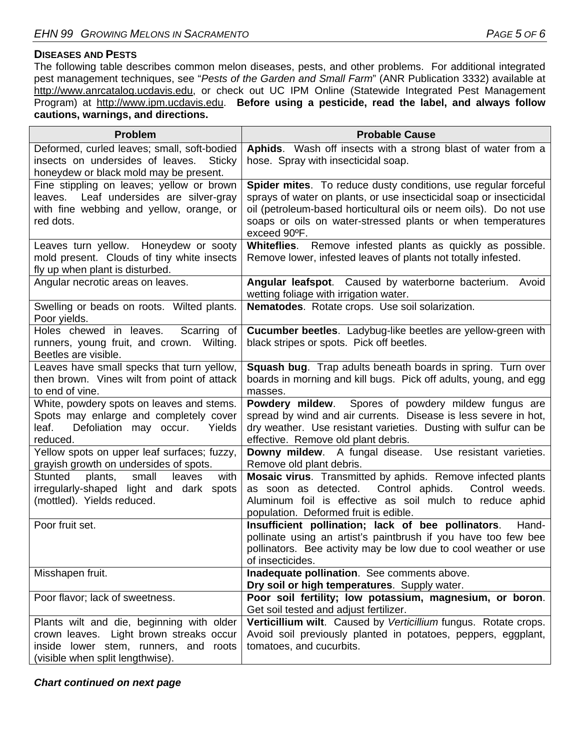#### **DISEASES AND PESTS**

The following table describes common melon diseases, pests, and other problems. For additional integrated pest management techniques, see "*Pests of the Garden and Small Farm*" (ANR Publication 3332) available at http://www.anrcatalog.ucdavis.edu, or check out UC IPM Online (Statewide Integrated Pest Management Program) at http://www.ipm.ucdavis.edu. **Before using a pesticide, read the label, and always follow cautions, warnings, and directions.** 

| <b>Problem</b>                                                                                                                                                    | <b>Probable Cause</b>                                                                                                                                                                                                                                                                     |
|-------------------------------------------------------------------------------------------------------------------------------------------------------------------|-------------------------------------------------------------------------------------------------------------------------------------------------------------------------------------------------------------------------------------------------------------------------------------------|
| Deformed, curled leaves; small, soft-bodied<br>insects on undersides of leaves.<br>Sticky<br>honeydew or black mold may be present.                               | Aphids. Wash off insects with a strong blast of water from a<br>hose. Spray with insecticidal soap.                                                                                                                                                                                       |
| Fine stippling on leaves; yellow or brown<br>leaves. Leaf undersides are silver-gray<br>with fine webbing and yellow, orange, or<br>red dots.                     | Spider mites. To reduce dusty conditions, use regular forceful<br>sprays of water on plants, or use insecticidal soap or insecticidal<br>oil (petroleum-based horticultural oils or neem oils). Do not use<br>soaps or oils on water-stressed plants or when temperatures<br>exceed 90°F. |
| Leaves turn yellow. Honeydew or sooty<br>mold present. Clouds of tiny white insects<br>fly up when plant is disturbed.                                            | Whiteflies. Remove infested plants as quickly as possible.<br>Remove lower, infested leaves of plants not totally infested.                                                                                                                                                               |
| Angular necrotic areas on leaves.                                                                                                                                 | Angular leafspot. Caused by waterborne bacterium. Avoid<br>wetting foliage with irrigation water.                                                                                                                                                                                         |
| Swelling or beads on roots. Wilted plants.<br>Poor yields.                                                                                                        | Nematodes. Rotate crops. Use soil solarization.                                                                                                                                                                                                                                           |
| Holes chewed in leaves.<br>Scarring of<br>runners, young fruit, and crown. Wilting.<br>Beetles are visible.                                                       | Cucumber beetles. Ladybug-like beetles are yellow-green with<br>black stripes or spots. Pick off beetles.                                                                                                                                                                                 |
| Leaves have small specks that turn yellow,<br>then brown. Vines wilt from point of attack<br>to end of vine.                                                      | <b>Squash bug.</b> Trap adults beneath boards in spring. Turn over<br>boards in morning and kill bugs. Pick off adults, young, and egg<br>masses.                                                                                                                                         |
| White, powdery spots on leaves and stems.<br>Spots may enlarge and completely cover<br>Defoliation may occur.<br>leaf.<br>Yields<br>reduced.                      | Powdery mildew.<br>Spores of powdery mildew fungus are<br>spread by wind and air currents. Disease is less severe in hot,<br>dry weather. Use resistant varieties. Dusting with sulfur can be<br>effective. Remove old plant debris.                                                      |
| Yellow spots on upper leaf surfaces; fuzzy,<br>grayish growth on undersides of spots.                                                                             | Downy mildew. A fungal disease. Use resistant varieties.<br>Remove old plant debris.                                                                                                                                                                                                      |
| small<br>Stunted<br>plants,<br>leaves<br>with<br>irregularly-shaped light and dark spots<br>(mottled). Yields reduced.                                            | Mosaic virus. Transmitted by aphids. Remove infected plants<br>as soon as detected. Control aphids.<br>Control weeds.<br>Aluminum foil is effective as soil mulch to reduce aphid<br>population. Deformed fruit is edible.                                                                |
| Poor fruit set.                                                                                                                                                   | Insufficient pollination; lack of bee pollinators.<br>Hand-<br>pollinate using an artist's paintbrush if you have too few bee<br>pollinators. Bee activity may be low due to cool weather or use<br>of insecticides.                                                                      |
| Misshapen fruit.                                                                                                                                                  | Inadequate pollination. See comments above.<br>Dry soil or high temperatures. Supply water.                                                                                                                                                                                               |
| Poor flavor; lack of sweetness.                                                                                                                                   | Poor soil fertility; low potassium, magnesium, or boron.<br>Get soil tested and adjust fertilizer.                                                                                                                                                                                        |
| Plants wilt and die, beginning with older<br>crown leaves. Light brown streaks occur<br>inside lower stem, runners, and roots<br>(visible when split lengthwise). | Verticillium wilt. Caused by Verticillium fungus. Rotate crops.<br>Avoid soil previously planted in potatoes, peppers, eggplant,<br>tomatoes, and cucurbits.                                                                                                                              |

*Chart continued on next page*